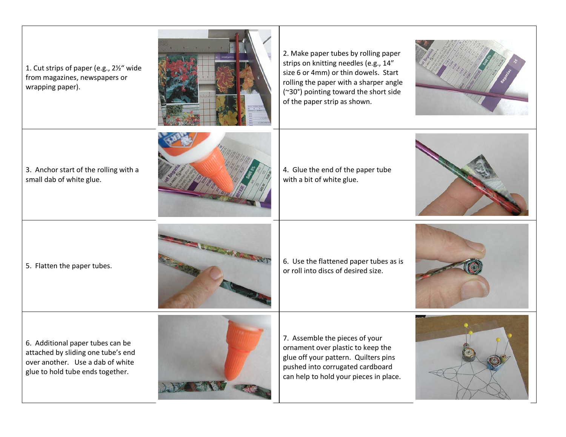1. Cut strips of paper (e.g., 2½" wide from magazines, newspapers or wrapping paper). 2. Make paper tubes by rolling paper strips on knitting needles (e.g., 14" size 6 or 4mm) or thin dowels. Start rolling the paper with a sharper angle (~30°) pointing toward the short side of the paper strip as shown. 3. Anchor start of the rolling with a small dab of white glue. 4. Glue the end of the paper tube with a bit of white glue. 5. Flatten the paper tubes.  $\overline{a}$  6. Use the flattened paper tubes as is or roll into discs of desired size. 6. Additional paper tubes can be attached by sliding one tube's end over another. Use a dab of white glue to hold tube ends together. 7. Assemble the pieces of your ornament over plastic to keep the glue off your pattern. Quilters pins pushed into corrugated cardboard can help to hold your pieces in place.